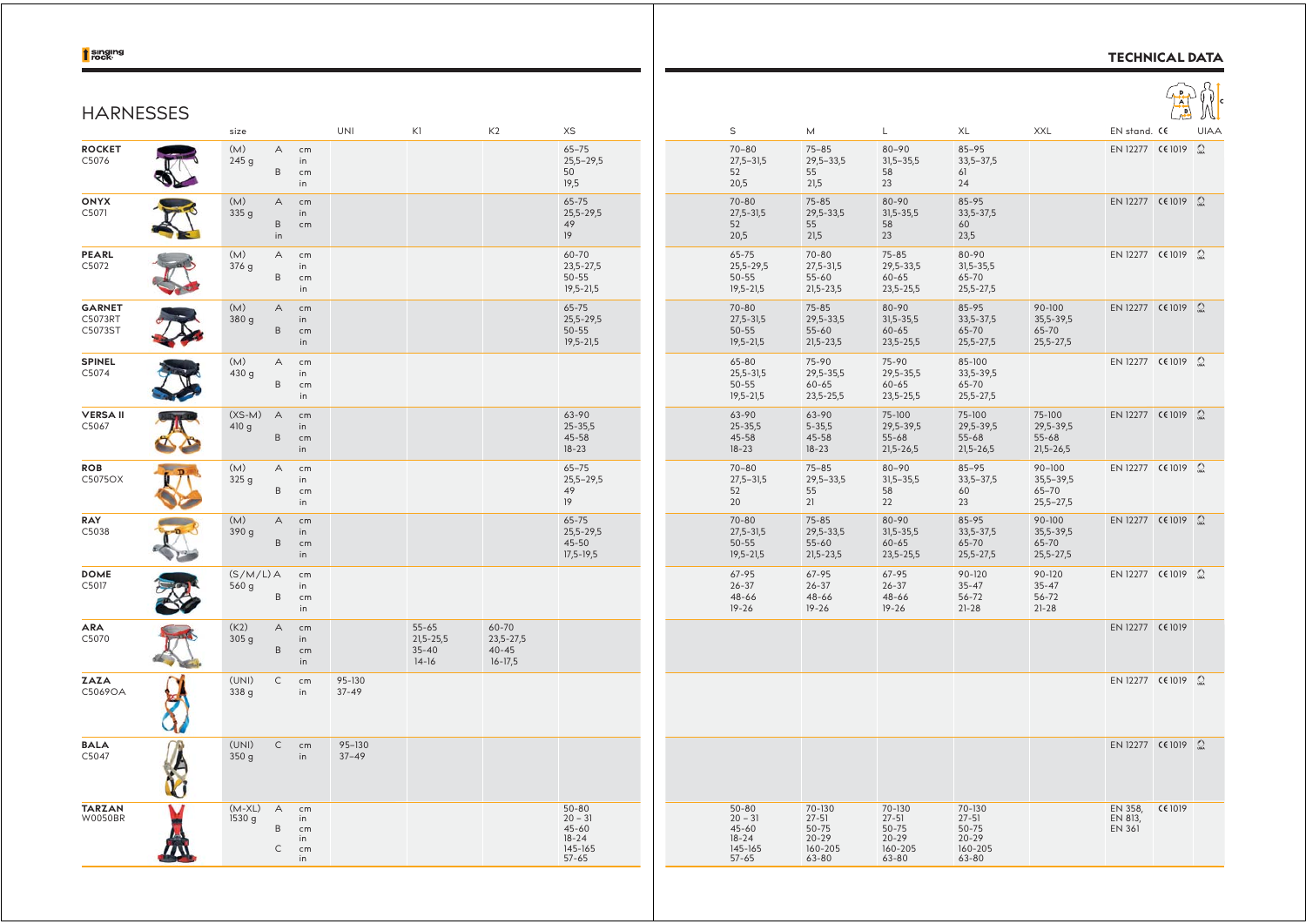## t singing

## **TECHNICAL DATA**



| <b>HARNESSES</b>                    |                          |                              |                                             |                     |                                                    |                                                    |                                                                          |                                                                          |                                                                       |                                                                   |                                                               |                                                           |                                     | H       |     |
|-------------------------------------|--------------------------|------------------------------|---------------------------------------------|---------------------|----------------------------------------------------|----------------------------------------------------|--------------------------------------------------------------------------|--------------------------------------------------------------------------|-----------------------------------------------------------------------|-------------------------------------------------------------------|---------------------------------------------------------------|-----------------------------------------------------------|-------------------------------------|---------|-----|
| <b>ROCKET</b><br>C5076              | size<br>(M)<br>245g      | $\mathsf{A}$<br>$\, {\sf B}$ | cm<br>in<br>cm                              | UNI                 | K1                                                 | K2                                                 | XS<br>$65 - 75$<br>$25,5 - 29,5$<br>50                                   | $\mathsf S$<br>$70 - 80$<br>$27,5 - 31,5$<br>52                          | M<br>$75 - 85$<br>$29,5 - 33,5$<br>55                                 | L<br>$80 - 90$<br>$31,5 - 35,5$<br>58                             | XL<br>$85 - 95$<br>$33,5 - 37,5$<br>61                        | XXL                                                       | EN stand. CE<br>EN 12277 CE 1019 2  |         | UIA |
| <b>ONYX</b><br>C5071                | (M)<br>335 g             | $\overline{A}$<br>B<br>in    | in<br>cm<br>in<br>cm                        |                     |                                                    |                                                    | 19,5<br>$65 - 75$<br>$25,5 - 29,5$<br>49<br>19                           | 20,5<br>$70 - 80$<br>$27,5 - 31,5$<br>52<br>20,5                         | 21,5<br>$75 - 85$<br>$29,5 - 33,5$<br>55<br>21,5                      | 23<br>80-90<br>$31,5-35,5$<br>58<br>23                            | 24<br>85-95<br>33,5-37,5<br>60<br>23,5                        |                                                           | EN 12277 CE1019 $\Omega$            |         |     |
| PEARL<br>C5072                      | (M)<br>376 g             | $\wedge$<br>B                | cm<br>in<br>cm<br>in                        |                     |                                                    |                                                    | 60-70<br>23,5-27,5<br>$50 - 55$<br>$19,5 - 21,5$                         | 65-75<br>25,5-29,5<br>$50 - 55$<br>$19,5 - 21,5$                         | $70 - 80$<br>$27,5 - 31,5$<br>$55 - 60$<br>$21,5 - 23,5$              | $75 - 85$<br>29,5-33,5<br>$60 - 65$<br>23,5-25,5                  | 80-90<br>$31,5 - 35,5$<br>65-70<br>25,5-27,5                  |                                                           | EN 12277 C€ 1019 Ω                  |         |     |
| <b>GARNET</b><br>C5073RT<br>C5073ST | (M)<br>380g              | $\mathsf{A}$<br>B            | cm<br>in<br>$\mathsf{cm}$<br>in             |                     |                                                    |                                                    | 65-75<br>25,5-29,5<br>$50 - 55$<br>$19,5 - 21,5$                         | $70 - 80$<br>$27,5 - 31,5$<br>$50 - 55$<br>$19,5 - 21,5$                 | $75 - 85$<br>29,5-33,5<br>$55 - 60$<br>$21,5-23,5$                    | 80-90<br>$31,5 - 35,5$<br>$60 - 65$<br>23,5-25,5                  | 85-95<br>33,5-37,5<br>65-70<br>25,5-27,5                      | 90-100<br>35,5-39,5<br>65-70<br>$25,5 - 27,5$             | EN 12277 C€ 1019 2                  |         |     |
| <b>SPINEL</b><br>C5074              | (M)<br>430 g             | A<br>$\,$ B                  | cm<br>in<br>cm<br>in                        |                     |                                                    |                                                    |                                                                          | 65-80<br>$25,5 - 31,5$<br>$50 - 55$<br>$19,5 - 21,5$                     | 75-90<br>29,5-35,5<br>60-65<br>$23,5 - 25,5$                          | 75-90<br>29,5-35,5<br>$60 - 65$<br>23,5-25,5                      | 85-100<br>33,5-39,5<br>65-70<br>25,5-27,5                     |                                                           | EN 12277 C€1019 2                   |         |     |
| <b>VERSA II</b><br>C5067            | $(XS-M)$<br>410 g        | $\overline{A}$<br>B          | cm<br>in<br>cm<br>in                        |                     |                                                    |                                                    | 63-90<br>$25 - 35,5$<br>45-58<br>$18 - 23$                               | 63-90<br>$25 - 35,5$<br>45-58<br>$18 - 23$                               | 63-90<br>$5 - 35,5$<br>45-58<br>$18 - 23$                             | 75-100<br>29,5-39,5<br>$55 - 68$<br>$21,5 - 26,5$                 | 75-100<br>29,5-39,5<br>$55 - 68$<br>$21,5-26,5$               | 75-100<br>29,5-39,5<br>$55 - 68$<br>21,5-26,5             | EN 12277 CE1019 $\Omega$            |         |     |
| <b>ROB</b><br>C5075OX               | (M)<br>325 g             | $\overline{A}$<br>B          | cm<br>in<br>cm<br>in                        |                     |                                                    |                                                    | $65 - 75$<br>$25,5 - 29,5$<br>49<br>19                                   | $70 - 80$<br>$27,5 - 31,5$<br>52<br>20                                   | $75 - 85$<br>$29,5 - 33,5$<br>55<br>21                                | 80-90<br>$31,5 - 35,5$<br>58<br>22                                | $85 - 95$<br>$33,5 - 37,5$<br>60<br>23                        | $90 - 100$<br>$35,5 - 39,5$<br>$65 - 70$<br>$25,5 - 27,5$ | EN 12277 C€ 1019 Ω                  |         |     |
| RAY<br>C5038                        | (M)<br>390 g             | $\overline{A}$<br>B          | cm<br>in<br>cm<br>in                        |                     |                                                    |                                                    | 65-75<br>25,5-29,5<br>45-50<br>$17,5 - 19,5$                             | $70 - 80$<br>$27,5 - 31,5$<br>$50 - 55$<br>$19,5 - 21,5$                 | $75 - 85$<br>29,5-33,5<br>$55 - 60$<br>$21,5-23,5$                    | 80-90<br>$31,5 - 35,5$<br>$60 - 65$<br>23,5-25,5                  | 85-95<br>33,5-37,5<br>65-70<br>25,5-27,5                      | $90 - 100$<br>35,5-39,5<br>65-70<br>$25,5 - 27,5$         | EN 12277 C€ 1019 Ω                  |         |     |
| <b>DOME</b><br>C5017                | $(S/M/L)$ A<br>560g      | $\mathsf B$                  | cm<br>in<br>cm<br>in                        |                     |                                                    |                                                    |                                                                          | 67-95<br>$26 - 37$<br>48-66<br>$19 - 26$                                 | $67 - 95$<br>$26 - 37$<br>48-66<br>$19 - 26$                          | 67-95<br>$26 - 37$<br>48-66<br>$19 - 26$                          | $90 - 120$<br>$35 - 47$<br>$56 - 72$<br>$21 - 28$             | 90-120<br>$35 - 47$<br>$56 - 72$<br>$21 - 28$             | EN 12277 C€ 1019 Ω                  |         |     |
| <b>ARA</b><br>C5070                 | (K2)<br>305 <sub>g</sub> | $\mathsf{A}$<br>B            | cm<br>in<br>cm<br>in                        |                     | $55 - 65$<br>$21,5 - 25,5$<br>$35 - 40$<br>$14-16$ | 60-70<br>$23,5 - 27,5$<br>$40 - 45$<br>$16 - 17,5$ |                                                                          |                                                                          |                                                                       |                                                                   |                                                               |                                                           | EN 12277 CE 1019                    |         |     |
| <b>ZAZA</b><br>C5069OA              | (UNI)<br>338 g           | $\mathsf{C}$                 | cm<br>in                                    | 95-130<br>$37 - 49$ |                                                    |                                                    |                                                                          |                                                                          |                                                                       |                                                                   |                                                               |                                                           | EN 12277 C€ 1019 Ω                  |         |     |
| <b>BALA</b><br>C5047                | (UNI)<br>350g            | $\mathsf{C}$                 | cm<br>in                                    | 95-130<br>$37 - 49$ |                                                    |                                                    |                                                                          |                                                                          |                                                                       |                                                                   |                                                               |                                                           | EN 12277 C€1019 2                   |         |     |
| <b>TARZAN</b><br><b>W0050BR</b>     | $(M-XL)$<br>1530 g       | A<br>B<br>C                  | cm<br>in<br>cm<br>in<br>$\mathsf{cm}$<br>in |                     |                                                    |                                                    | $50 - 80$<br>$20 - 31$<br>$45 - 60$<br>$18 - 24$<br>145-165<br>$57 - 65$ | $50 - 80$<br>$20 - 31$<br>$45 - 60$<br>$18 - 24$<br>145-165<br>$57 - 65$ | 70-130<br>$27 - 51$<br>$50 - 75$<br>$20 - 29$<br>160-205<br>$63 - 80$ | 70-130<br>$27 - 51$<br>$50 - 75$<br>$20 - 29$<br>160-205<br>63-80 | 70-130<br>$27 - 51$<br>50-75<br>$20 - 29$<br>160-205<br>63-80 |                                                           | EN 358,<br>EN 813,<br><b>EN 361</b> | CE 1019 |     |